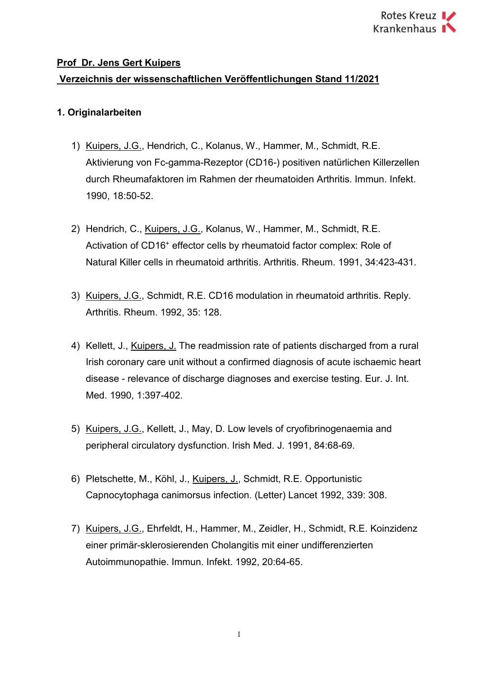# **Prof Dr. Jens Gert Kuipers**

# **Verzeichnis der wissenschaftlichen Veröffentlichungen Stand 11/2021**

## **1. Originalarbeiten**

- 1) Kuipers, J.G., Hendrich, C., Kolanus, W., Hammer, M., Schmidt, R.E. Aktivierung von Fc-gamma-Rezeptor (CD16-) positiven natürlichen Killerzellen durch Rheumafaktoren im Rahmen der rheumatoiden Arthritis. Immun. Infekt. 1990, 18:50-52.
- 2) Hendrich, C., Kuipers, J.G., Kolanus, W., Hammer, M., Schmidt, R.E. Activation of CD16<sup>+</sup> effector cells by rheumatoid factor complex: Role of Natural Killer cells in rheumatoid arthritis. Arthritis. Rheum. 1991, 34:423-431.
- 3) Kuipers, J.G., Schmidt, R.E. CD16 modulation in rheumatoid arthritis. Reply. Arthritis. Rheum. 1992, 35: 128.
- 4) Kellett, J., Kuipers, J. The readmission rate of patients discharged from a rural Irish coronary care unit without a confirmed diagnosis of acute ischaemic heart disease - relevance of discharge diagnoses and exercise testing. Eur. J. Int. Med. 1990, 1:397-402.
- 5) Kuipers, J.G., Kellett, J., May, D. Low levels of cryofibrinogenaemia and peripheral circulatory dysfunction. Irish Med. J. 1991, 84:68-69.
- 6) Pletschette, M., Köhl, J., Kuipers, J., Schmidt, R.E. Opportunistic Capnocytophaga canimorsus infection. (Letter) Lancet 1992, 339: 308.
- 7) Kuipers, J.G., Ehrfeldt, H., Hammer, M., Zeidler, H., Schmidt, R.E. Koinzidenz einer primär-sklerosierenden Cholangitis mit einer undifferenzierten Autoimmunopathie. Immun. Infekt. 1992, 20:64-65.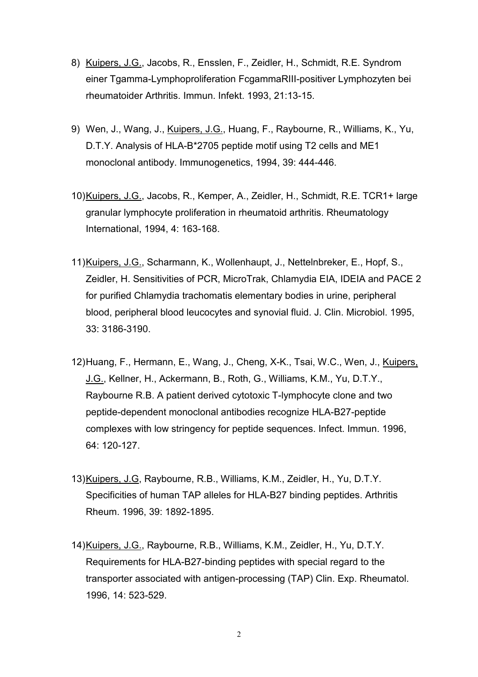- 8) Kuipers, J.G., Jacobs, R., Ensslen, F., Zeidler, H., Schmidt, R.E. Syndrom einer Tgamma-Lymphoproliferation FcgammaRIII-positiver Lymphozyten bei rheumatoider Arthritis. Immun. Infekt. 1993, 21:13-15.
- 9) Wen, J., Wang, J., Kuipers, J.G., Huang, F., Raybourne, R., Williams, K., Yu, D.T.Y. Analysis of HLA-B\*2705 peptide motif using T2 cells and ME1 monoclonal antibody. Immunogenetics, 1994, 39: 444-446.
- 10) Kuipers, J.G., Jacobs, R., Kemper, A., Zeidler, H., Schmidt, R.E. TCR1+ large granular lymphocyte proliferation in rheumatoid arthritis. Rheumatology International, 1994, 4: 163-168.
- 11) Kuipers, J.G., Scharmann, K., Wollenhaupt, J., Nettelnbreker, E., Hopf, S., Zeidler, H. Sensitivities of PCR, MicroTrak, Chlamydia EIA, IDEIA and PACE 2 for purified Chlamydia trachomatis elementary bodies in urine, peripheral blood, peripheral blood leucocytes and synovial fluid. J. Clin. Microbiol. 1995, 33: 3186-3190.
- 12) Huang, F., Hermann, E., Wang, J., Cheng, X-K., Tsai, W.C., Wen, J., Kuipers, J.G., Kellner, H., Ackermann, B., Roth, G., Williams, K.M., Yu, D.T.Y., Raybourne R.B. A patient derived cytotoxic T-lymphocyte clone and two peptide-dependent monoclonal antibodies recognize HLA-B27-peptide complexes with low stringency for peptide sequences. Infect. Immun. 1996, 64: 120-127.
- 13) Kuipers, J.G, Raybourne, R.B., Williams, K.M., Zeidler, H., Yu, D.T.Y. Specificities of human TAP alleles for HLA-B27 binding peptides. Arthritis Rheum. 1996, 39: 1892-1895.
- 14) Kuipers, J.G., Raybourne, R.B., Williams, K.M., Zeidler, H., Yu, D.T.Y. Requirements for HLA-B27-binding peptides with special regard to the transporter associated with antigen-processing (TAP) Clin. Exp. Rheumatol. 1996, 14: 523-529.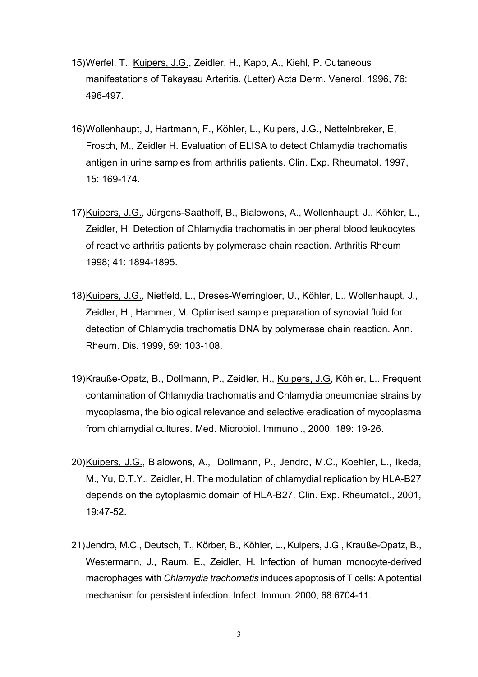- 15) Werfel, T., Kuipers, J.G., Zeidler, H., Kapp, A., Kiehl, P. Cutaneous manifestations of Takayasu Arteritis. (Letter) Acta Derm. Venerol. 1996, 76: 496-497.
- 16) Wollenhaupt, J, Hartmann, F., Köhler, L., Kuipers, J.G., Nettelnbreker, E, Frosch, M., Zeidler H. Evaluation of ELISA to detect Chlamydia trachomatis antigen in urine samples from arthritis patients. Clin. Exp. Rheumatol. 1997, 15: 169-174.
- 17) Kuipers, J.G., Jürgens-Saathoff, B., Bialowons, A., Wollenhaupt, J., Köhler, L., Zeidler, H. Detection of Chlamydia trachomatis in peripheral blood leukocytes of reactive arthritis patients by polymerase chain reaction. Arthritis Rheum 1998; 41: 1894-1895.
- 18) Kuipers, J.G., Nietfeld, L., Dreses-Werringloer, U., Köhler, L., Wollenhaupt, J., Zeidler, H., Hammer, M. Optimised sample preparation of synovial fluid for detection of Chlamydia trachomatis DNA by polymerase chain reaction. Ann. Rheum. Dis. 1999, 59: 103-108.
- 19) Krauße-Opatz, B., Dollmann, P., Zeidler, H., Kuipers, J.G, Köhler, L.. Frequent contamination of Chlamydia trachomatis and Chlamydia pneumoniae strains by mycoplasma, the biological relevance and selective eradication of mycoplasma from chlamydial cultures. Med. Microbiol. Immunol., 2000, 189: 19-26.
- 20) Kuipers, J.G., Bialowons, A., Dollmann, P., Jendro, M.C., Koehler, L., Ikeda, M., Yu, D.T.Y., Zeidler, H. The modulation of chlamydial replication by HLA-B27 depends on the cytoplasmic domain of HLA-B27. Clin. Exp. Rheumatol., 2001, 19:47-52.
- 21) Jendro, M.C., Deutsch, T., Körber, B., Köhler, L., Kuipers, J.G., Krauße-Opatz, B., Westermann, J., Raum, E., Zeidler, H. Infection of human monocyte-derived macrophages with *Chlamydia trachomatis* induces apoptosis of T cells: A potential mechanism for persistent infection. Infect. Immun. 2000; 68:6704-11.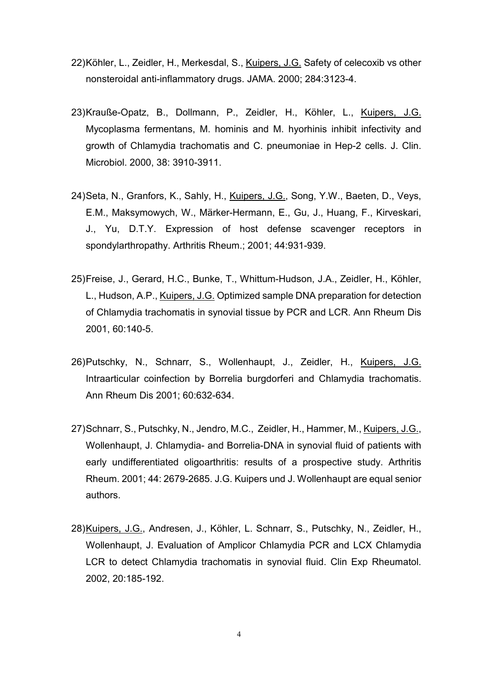- 22) Köhler, L., Zeidler, H., Merkesdal, S., Kuipers, J.G. Safety of celecoxib vs other nonsteroidal anti-inflammatory drugs. JAMA. 2000; 284:3123-4.
- 23) Krauße-Opatz, B., Dollmann, P., Zeidler, H., Köhler, L., Kuipers, J.G. Mycoplasma fermentans, M. hominis and M. hyorhinis inhibit infectivity and growth of Chlamydia trachomatis and C. pneumoniae in Hep-2 cells. J. Clin. Microbiol. 2000, 38: 3910-3911.
- 24) Seta, N., Granfors, K., Sahly, H., Kuipers, J.G., Song, Y.W., Baeten, D., Veys, E.M., Maksymowych, W., Märker-Hermann, E., Gu, J., Huang, F., Kirveskari, J., Yu, D.T.Y. Expression of host defense scavenger receptors in spondylarthropathy. Arthritis Rheum.; 2001; 44:931-939.
- 25) Freise, J., Gerard, H.C., Bunke, T., Whittum-Hudson, J.A., Zeidler, H., Köhler, L., Hudson, A.P., Kuipers, J.G. Optimized sample DNA preparation for detection of Chlamydia trachomatis in synovial tissue by PCR and LCR. Ann Rheum Dis 2001, 60:140-5.
- 26) Putschky, N., Schnarr, S., Wollenhaupt, J., Zeidler, H., Kuipers, J.G. Intraarticular coinfection by Borrelia burgdorferi and Chlamydia trachomatis. Ann Rheum Dis 2001; 60:632-634.
- 27) Schnarr, S., Putschky, N., Jendro, M.C., Zeidler, H., Hammer, M., Kuipers, J.G., Wollenhaupt, J. Chlamydia- and Borrelia-DNA in synovial fluid of patients with early undifferentiated oligoarthritis: results of a prospective study. Arthritis Rheum. 2001; 44: 2679-2685. J.G. Kuipers und J. Wollenhaupt are equal senior authors.
- 28) Kuipers, J.G., Andresen, J., Köhler, L. Schnarr, S., Putschky, N., Zeidler, H., Wollenhaupt, J. Evaluation of Amplicor Chlamydia PCR and LCX Chlamydia LCR to detect Chlamydia trachomatis in synovial fluid. Clin Exp Rheumatol. 2002, 20:185-192.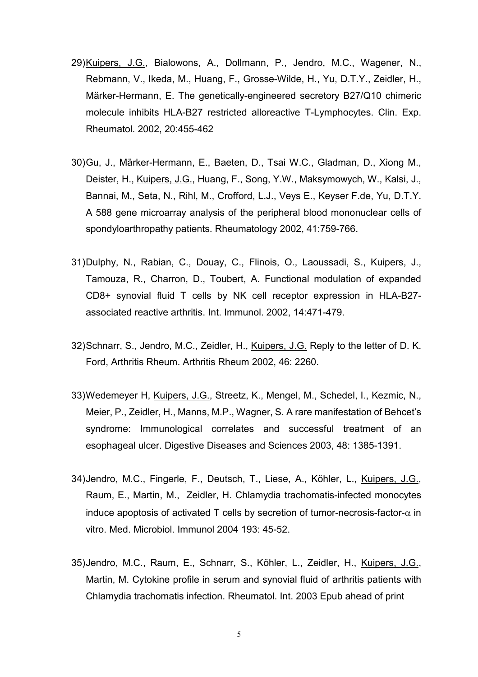- 29) Kuipers, J.G., Bialowons, A., Dollmann, P., Jendro, M.C., Wagener, N., Rebmann, V., Ikeda, M., Huang, F., Grosse-Wilde, H., Yu, D.T.Y., Zeidler, H., Märker-Hermann, E. The genetically-engineered secretory B27/Q10 chimeric molecule inhibits HLA-B27 restricted alloreactive T-Lymphocytes. Clin. Exp. Rheumatol. 2002, 20:455-462
- 30) Gu, J., Märker-Hermann, E., Baeten, D., Tsai W.C., Gladman, D., Xiong M., Deister, H., Kuipers, J.G., Huang, F., Song, Y.W., Maksymowych, W., Kalsi, J., Bannai, M., Seta, N., Rihl, M., Crofford, L.J., Veys E., Keyser F.de, Yu, D.T.Y. A 588 gene microarray analysis of the peripheral blood mononuclear cells of spondyloarthropathy patients. Rheumatology 2002, 41:759-766.
- 31) Dulphy, N., Rabian, C., Douay, C., Flinois, O., Laoussadi, S., Kuipers, J., Tamouza, R., Charron, D., Toubert, A. Functional modulation of expanded CD8+ synovial fluid T cells by NK cell receptor expression in HLA-B27 associated reactive arthritis. Int. Immunol. 2002, 14:471-479.
- 32) Schnarr, S., Jendro, M.C., Zeidler, H., Kuipers, J.G. Reply to the letter of D. K. Ford, Arthritis Rheum. Arthritis Rheum 2002, 46: 2260.
- 33) Wedemeyer H, Kuipers, J.G., Streetz, K., Mengel, M., Schedel, I., Kezmic, N., Meier, P., Zeidler, H., Manns, M.P., Wagner, S. A rare manifestation of Behcet's syndrome: Immunological correlates and successful treatment of an esophageal ulcer. Digestive Diseases and Sciences 2003, 48: 1385-1391.
- 34) Jendro, M.C., Fingerle, F., Deutsch, T., Liese, A., Köhler, L., Kuipers, J.G., Raum, E., Martin, M., Zeidler, H. Chlamydia trachomatis-infected monocytes induce apoptosis of activated T cells by secretion of tumor-necrosis-factor- $\alpha$  in vitro. Med. Microbiol. Immunol 2004 193: 45-52.
- 35) Jendro, M.C., Raum, E., Schnarr, S., Köhler, L., Zeidler, H., Kuipers, J.G., Martin, M. Cytokine profile in serum and synovial fluid of arthritis patients with Chlamydia trachomatis infection. Rheumatol. Int. 2003 Epub ahead of print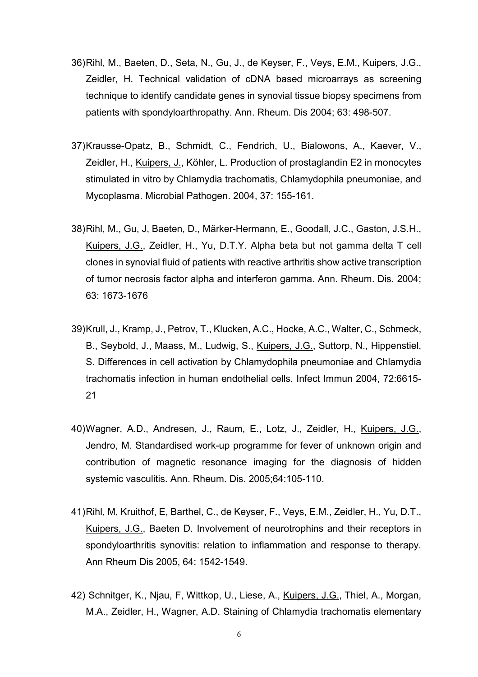- 36) Rihl, M., Baeten, D., Seta, N., Gu, J., de Keyser, F., Veys, E.M., Kuipers, J.G., Zeidler, H. Technical validation of cDNA based microarrays as screening technique to identify candidate genes in synovial tissue biopsy specimens from patients with spondyloarthropathy. Ann. Rheum. Dis 2004; 63: 498-507.
- 37) Krausse-Opatz, B., Schmidt, C., Fendrich, U., Bialowons, A., Kaever, V., Zeidler, H., Kuipers, J., Köhler, L. Production of prostaglandin E2 in monocytes stimulated in vitro by Chlamydia trachomatis, Chlamydophila pneumoniae, and Mycoplasma. Microbial Pathogen. 2004, 37: 155-161.
- 38) Rihl, M., Gu, J, Baeten, D., Märker-Hermann, E., Goodall, J.C., Gaston, J.S.H., Kuipers, J.G., Zeidler, H., Yu, D.T.Y. Alpha beta but not gamma delta T cell clones in synovial fluid of patients with reactive arthritis show active transcription of tumor necrosis factor alpha and interferon gamma. Ann. Rheum. Dis. 2004; 63: 1673-1676
- 39) Krull, J., Kramp, J., Petrov, T., Klucken, A.C., Hocke, A.C., Walter, C., Schmeck, B., Seybold, J., Maass, M., Ludwig, S., Kuipers, J.G., Suttorp, N., Hippenstiel, S. Differences in cell activation by Chlamydophila pneumoniae and Chlamydia trachomatis infection in human endothelial cells. Infect Immun 2004, 72:6615- 21
- 40) Wagner, A.D., Andresen, J., Raum, E., Lotz, J., Zeidler, H., Kuipers, J.G., Jendro, M. Standardised work-up programme for fever of unknown origin and contribution of magnetic resonance imaging for the diagnosis of hidden systemic vasculitis. Ann. Rheum. Dis. 2005;64:105-110.
- 41) Rihl, M, Kruithof, E, Barthel, C., de Keyser, F., Veys, E.M., Zeidler, H., Yu, D.T., Kuipers, J.G., Baeten D. Involvement of neurotrophins and their receptors in spondyloarthritis synovitis: relation to inflammation and response to therapy. Ann Rheum Dis 2005, 64: 1542-1549.
- 42) Schnitger, K., Njau, F, Wittkop, U., Liese, A., Kuipers, J.G., Thiel, A., Morgan, M.A., Zeidler, H., Wagner, A.D. Staining of Chlamydia trachomatis elementary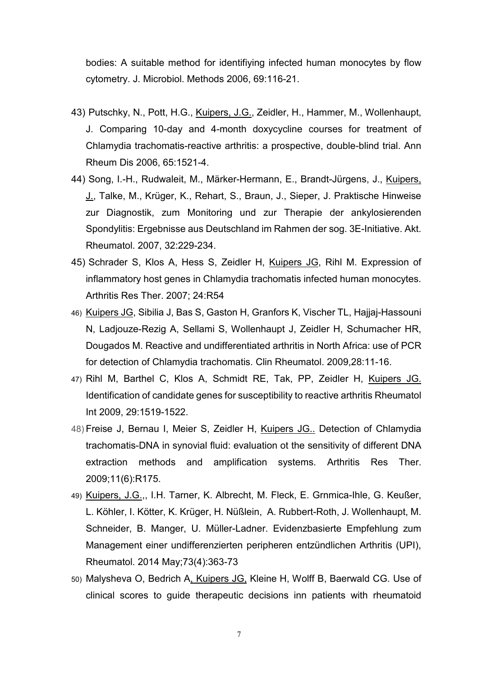bodies: A suitable method for identifiying infected human monocytes by flow cytometry. J. Microbiol. Methods 2006, 69:116-21.

- 43) Putschky, N., Pott, H.G., Kuipers, J.G., Zeidler, H., Hammer, M., Wollenhaupt, J. Comparing 10-day and 4-month doxycycline courses for treatment of Chlamydia trachomatis-reactive arthritis: a prospective, double-blind trial. Ann Rheum Dis 2006, 65:1521-4.
- 44) Song, I.-H., Rudwaleit, M., Märker-Hermann, E., Brandt-Jürgens, J., Kuipers, J., Talke, M., Krüger, K., Rehart, S., Braun, J., Sieper, J. Praktische Hinweise zur Diagnostik, zum Monitoring und zur Therapie der ankylosierenden Spondylitis: Ergebnisse aus Deutschland im Rahmen der sog. 3E-Initiative. Akt. Rheumatol. 2007, 32:229-234.
- 45) Schrader S, Klos A, Hess S, Zeidler H, Kuipers JG, Rihl M. Expression of inflammatory host genes in Chlamydia trachomatis infected human monocytes. Arthritis Res Ther. 2007; 24:R54
- 46) Kuipers JG, Sibilia J, Bas S, Gaston H, Granfors K, Vischer TL, Hajjaj-Hassouni N, Ladjouze-Rezig A, Sellami S, Wollenhaupt J, Zeidler H, Schumacher HR, Dougados M. Reactive and undifferentiated arthritis in North Africa: use of PCR for detection of Chlamydia trachomatis. Clin Rheumatol. 2009,28:11-16.
- 47) Rihl M, Barthel C, Klos A, Schmidt RE, Tak, PP, Zeidler H, Kuipers JG. Identification of candidate genes for susceptibility to reactive arthritis Rheumatol Int 2009, 29:1519-1522.
- 48) Freise J, Bernau I, Meier S, Zeidler H, Kuipers JG.. Detection of Chlamydia trachomatis-DNA in synovial fluid: evaluation ot the sensitivity of different DNA extraction methods and amplification systems. Arthritis Res Ther. 2009;11(6):R175.
- 49) Kuipers, J.G.,, I.H. Tarner, K. Albrecht, M. Fleck, E. Grnmica-Ihle, G. Keußer, L. Köhler, I. Kötter, K. Krüger, H. Nüßlein, A. Rubbert-Roth, J. Wollenhaupt, M. Schneider, B. Manger, U. Müller-Ladner. Evidenzbasierte Empfehlung zum Management einer undifferenzierten peripheren entzündlichen Arthritis (UPI), Rheumatol. 2014 May;73(4):363-73
- 50) Malysheva O, Bedrich A, Kuipers JG, Kleine H, Wolff B, Baerwald CG. Use of clinical scores to guide therapeutic decisions inn patients with rheumatoid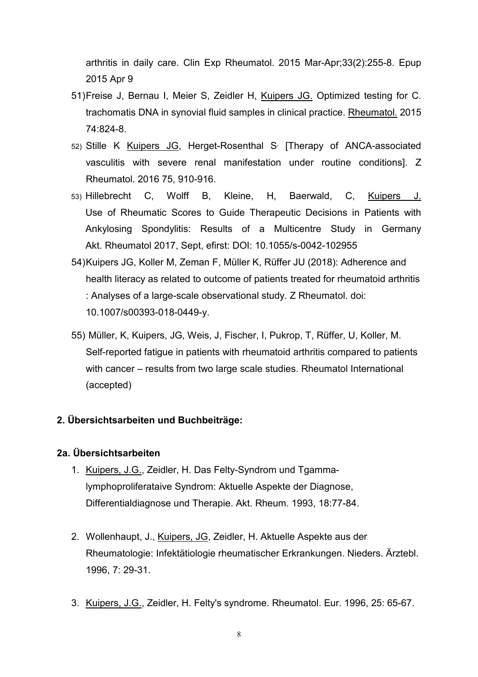arthritis in daily care. Clin Exp Rheumatol. 2015 Mar-Apr;33(2):255-8. Epup 2015 Apr 9

- 51) Freise J, Bernau I, Meier S, Zeidler H, Kuipers JG. Optimized testing for C. trachomatis DNA in synovial fluid samples in clinical practice. Rheumatol. 2015 74:824-8.
- 52) Stille K Kuipers JG, Herget-Rosenthal S [Therapy of ANCA-associated vasculitis with severe renal manifestation under routine conditions]. Z Rheumatol. 2016 75, 910-916.
- 53) Hillebrecht C, Wolff B, Kleine, H, Baerwald, C, Kuipers J. Use of Rheumatic Scores to Guide Therapeutic Decisions in Patients with Ankylosing Spondylitis: Results of a Multicentre Study in Germany Akt. Rheumatol 2017, Sept, efirst: DOI: 10.1055/s-0042-102955
- 54) Kuipers JG, Koller M, Zeman F, Müller K, Rüffer JU (2018): Adherence and health literacy as related to outcome of patients treated for rheumatoid arthritis : Analyses of a large-scale observational study. Z Rheumatol. doi: 10.1007/s00393-018-0449-y.
- 55) Müller, K, Kuipers, JG, Weis, J, Fischer, I, Pukrop, T, Rüffer, U, Koller, M. Self-reported fatigue in patients with rheumatoid arthritis compared to patients with cancer – results from two large scale studies. Rheumatol International (accepted)

### **2. Übersichtsarbeiten und Buchbeiträge:**

### **2a. Übersichtsarbeiten**

- 1. Kuipers, J.G., Zeidler, H. Das Felty-Syndrom und Tgammalymphoproliferataive Syndrom: Aktuelle Aspekte der Diagnose, Differentialdiagnose und Therapie. Akt. Rheum. 1993, 18:77-84.
- 2. Wollenhaupt, J., Kuipers, JG, Zeidler, H. Aktuelle Aspekte aus der Rheumatologie: Infektätiologie rheumatischer Erkrankungen. Nieders. Ärztebl. 1996, 7: 29-31.
- 3. Kuipers, J.G., Zeidler, H. Felty's syndrome. Rheumatol. Eur. 1996, 25: 65-67.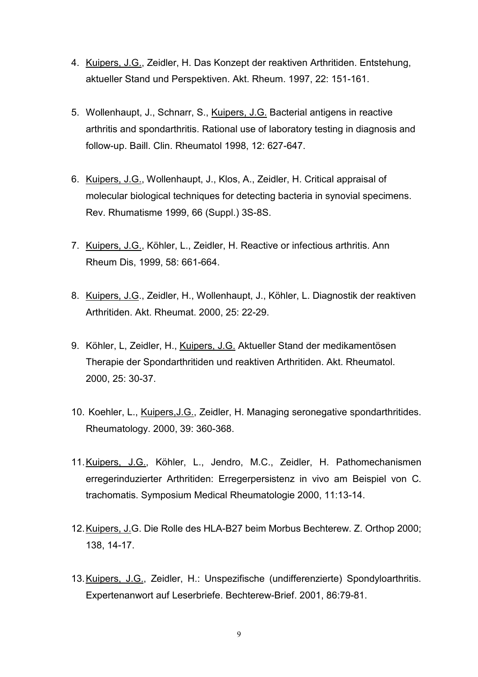- 4. Kuipers, J.G., Zeidler, H. Das Konzept der reaktiven Arthritiden. Entstehung, aktueller Stand und Perspektiven. Akt. Rheum. 1997, 22: 151-161.
- 5. Wollenhaupt, J., Schnarr, S., Kuipers, J.G. Bacterial antigens in reactive arthritis and spondarthritis. Rational use of laboratory testing in diagnosis and follow-up. Baill. Clin. Rheumatol 1998, 12: 627-647.
- 6. Kuipers, J.G., Wollenhaupt, J., Klos, A., Zeidler, H. Critical appraisal of molecular biological techniques for detecting bacteria in synovial specimens. Rev. Rhumatisme 1999, 66 (Suppl.) 3S-8S.
- 7. Kuipers, J.G., Köhler, L., Zeidler, H. Reactive or infectious arthritis. Ann Rheum Dis, 1999, 58: 661-664.
- 8. Kuipers, J.G., Zeidler, H., Wollenhaupt, J., Köhler, L. Diagnostik der reaktiven Arthritiden. Akt. Rheumat. 2000, 25: 22-29.
- 9. Köhler, L, Zeidler, H., Kuipers, J.G. Aktueller Stand der medikamentösen Therapie der Spondarthritiden und reaktiven Arthritiden. Akt. Rheumatol. 2000, 25: 30-37.
- 10. Koehler, L., Kuipers,J.G., Zeidler, H. Managing seronegative spondarthritides. Rheumatology. 2000, 39: 360-368.
- 11. Kuipers, J.G., Köhler, L., Jendro, M.C., Zeidler, H. Pathomechanismen erregerinduzierter Arthritiden: Erregerpersistenz in vivo am Beispiel von C. trachomatis. Symposium Medical Rheumatologie 2000, 11:13-14.
- 12. Kuipers, J.G. Die Rolle des HLA-B27 beim Morbus Bechterew. Z. Orthop 2000; 138, 14-17.
- 13. Kuipers, J.G., Zeidler, H.: Unspezifische (undifferenzierte) Spondyloarthritis. Expertenanwort auf Leserbriefe. Bechterew-Brief. 2001, 86:79-81.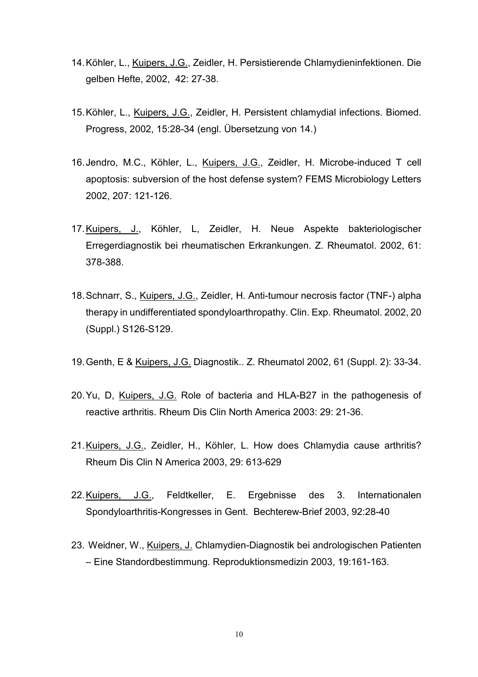- 14. Köhler, L., Kuipers, J.G., Zeidler, H. Persistierende Chlamydieninfektionen. Die gelben Hefte, 2002, 42: 27-38.
- 15. Köhler, L., Kuipers, J.G., Zeidler, H. Persistent chlamydial infections. Biomed. Progress, 2002, 15:28-34 (engl. Übersetzung von 14.)
- 16. Jendro, M.C., Köhler, L., Kuipers, J.G., Zeidler, H. Microbe-induced T cell apoptosis: subversion of the host defense system? FEMS Microbiology Letters 2002, 207: 121-126.
- 17. Kuipers, J., Köhler, L, Zeidler, H. Neue Aspekte bakteriologischer Erregerdiagnostik bei rheumatischen Erkrankungen. Z. Rheumatol. 2002, 61: 378-388.
- 18. Schnarr, S., Kuipers, J.G., Zeidler, H. Anti-tumour necrosis factor (TNF-) alpha therapy in undifferentiated spondyloarthropathy. Clin. Exp. Rheumatol. 2002, 20 (Suppl.) S126-S129.
- 19. Genth, E & Kuipers, J.G. Diagnostik.. Z. Rheumatol 2002, 61 (Suppl. 2): 33-34.
- 20. Yu, D, Kuipers, J.G. Role of bacteria and HLA-B27 in the pathogenesis of reactive arthritis. Rheum Dis Clin North America 2003: 29: 21-36.
- 21. Kuipers, J.G., Zeidler, H., Köhler, L. How does Chlamydia cause arthritis? Rheum Dis Clin N America 2003, 29: 613-629
- 22. Kuipers, J.G., Feldtkeller, E. Ergebnisse des 3. Internationalen Spondyloarthritis-Kongresses in Gent. Bechterew-Brief 2003, 92:28-40
- 23. Weidner, W., Kuipers, J. Chlamydien-Diagnostik bei andrologischen Patienten – Eine Standordbestimmung. Reproduktionsmedizin 2003, 19:161-163.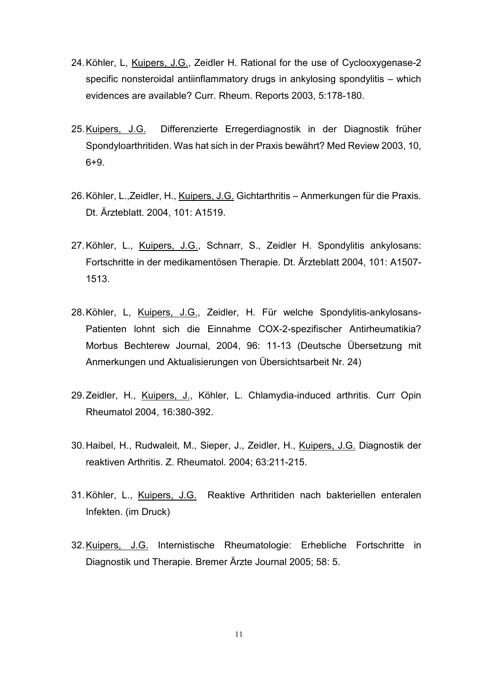- 24. Köhler, L, Kuipers, J.G., Zeidler H. Rational for the use of Cyclooxygenase-2 specific nonsteroidal antiinflammatory drugs in ankylosing spondylitis – which evidences are available? Curr. Rheum. Reports 2003, 5:178-180.
- 25. Kuipers, J.G. Differenzierte Erregerdiagnostik in der Diagnostik früher Spondyloarthritiden. Was hat sich in der Praxis bewährt? Med Review 2003, 10, 6+9.
- 26. Köhler, L.,Zeidler, H., Kuipers, J.G. Gichtarthritis Anmerkungen für die Praxis. Dt. Ärzteblatt. 2004, 101: A1519.
- 27. Köhler, L., Kuipers, J.G., Schnarr, S., Zeidler H. Spondylitis ankylosans: Fortschritte in der medikamentösen Therapie. Dt. Ärzteblatt 2004, 101: A1507- 1513.
- 28. Köhler, L, Kuipers, J.G., Zeidler, H. Für welche Spondylitis-ankylosans-Patienten lohnt sich die Einnahme COX-2-spezifischer Antirheumatikia? Morbus Bechterew Journal, 2004, 96: 11-13 (Deutsche Übersetzung mit Anmerkungen und Aktualisierungen von Übersichtsarbeit Nr. 24)
- 29. Zeidler, H., Kuipers, J., Köhler, L. Chlamydia-induced arthritis. Curr Opin Rheumatol 2004, 16:380-392.
- 30. Haibel, H., Rudwaleit, M., Sieper, J., Zeidler, H., Kuipers, J.G. Diagnostik der reaktiven Arthritis. Z. Rheumatol. 2004; 63:211-215.
- 31. Köhler, L., Kuipers, J.G. Reaktive Arthritiden nach bakteriellen enteralen Infekten. (im Druck)
- 32. Kuipers, J.G. Internistische Rheumatologie: Erhebliche Fortschritte in Diagnostik und Therapie. Bremer Ärzte Journal 2005; 58: 5.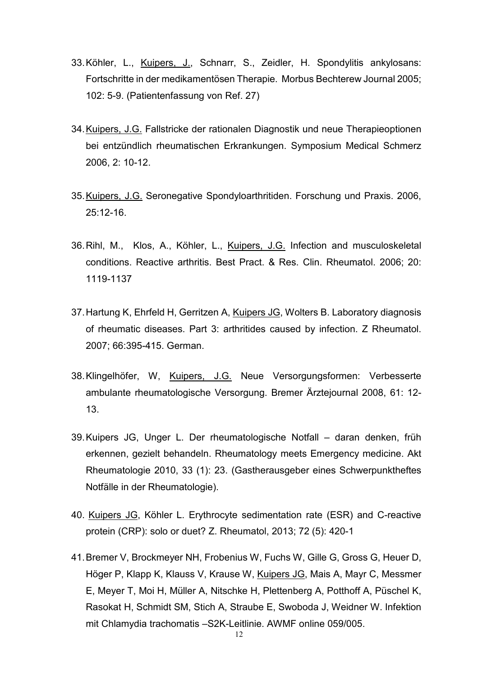- 33. Köhler, L., Kuipers, J., Schnarr, S., Zeidler, H. Spondylitis ankylosans: Fortschritte in der medikamentösen Therapie. Morbus Bechterew Journal 2005; 102: 5-9. (Patientenfassung von Ref. 27)
- 34. Kuipers, J.G. Fallstricke der rationalen Diagnostik und neue Therapieoptionen bei entzündlich rheumatischen Erkrankungen. Symposium Medical Schmerz 2006, 2: 10-12.
- 35. Kuipers, J.G. Seronegative Spondyloarthritiden. Forschung und Praxis. 2006, 25:12-16.
- 36. Rihl, M., Klos, A., Köhler, L., Kuipers, J.G. Infection and musculoskeletal conditions. Reactive arthritis. Best Pract. & Res. Clin. Rheumatol. 2006; 20: 1119-1137
- 37. Hartung K, Ehrfeld H, Gerritzen A, Kuipers JG, Wolters B. Laboratory diagnosis of rheumatic diseases. Part 3: arthritides caused by infection. Z Rheumatol. 2007; 66:395-415. German.
- 38. Klingelhöfer, W, Kuipers, J.G. Neue Versorgungsformen: Verbesserte ambulante rheumatologische Versorgung. Bremer Ärztejournal 2008, 61: 12- 13.
- 39. Kuipers JG, Unger L. Der rheumatologische Notfall daran denken, früh erkennen, gezielt behandeln. Rheumatology meets Emergency medicine. Akt Rheumatologie 2010, 33 (1): 23. (Gastherausgeber eines Schwerpunktheftes Notfälle in der Rheumatologie).
- 40. Kuipers JG, Köhler L. Erythrocyte sedimentation rate (ESR) and C-reactive protein (CRP): solo or duet? Z. Rheumatol, 2013; 72 (5): 420-1
- 41. Bremer V, Brockmeyer NH, Frobenius W, Fuchs W, Gille G, Gross G, Heuer D, Höger P, Klapp K, Klauss V, Krause W, Kuipers JG, Mais A, Mayr C, Messmer E, Meyer T, Moi H, Müller A, Nitschke H, Plettenberg A, Potthoff A, Püschel K, Rasokat H, Schmidt SM, Stich A, Straube E, Swoboda J, Weidner W. Infektion mit Chlamydia trachomatis –S2K-Leitlinie. AWMF online 059/005.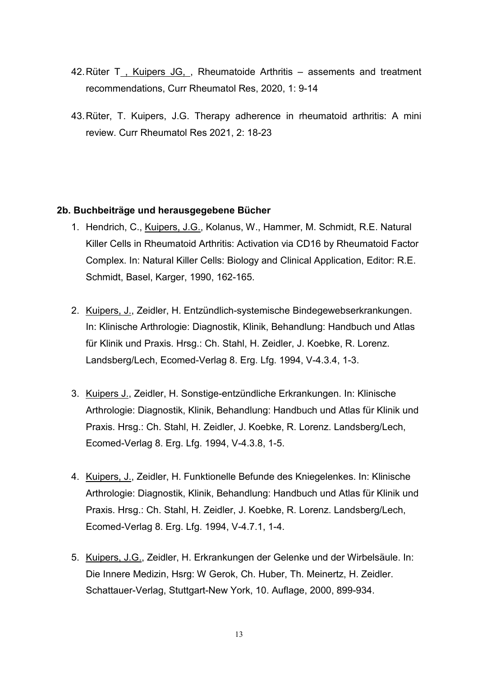- 42. Rüter T, Kuipers JG, , Rheumatoide Arthritis assements and treatment recommendations, Curr Rheumatol Res, 2020, 1: 9-14
- 43. Rüter, T. Kuipers, J.G. Therapy adherence in rheumatoid arthritis: A mini review. Curr Rheumatol Res 2021, 2: 18-23

### **2b. Buchbeiträge und herausgegebene Bücher**

- 1. Hendrich, C., Kuipers, J.G., Kolanus, W., Hammer, M. Schmidt, R.E. Natural Killer Cells in Rheumatoid Arthritis: Activation via CD16 by Rheumatoid Factor Complex. In: Natural Killer Cells: Biology and Clinical Application, Editor: R.E. Schmidt, Basel, Karger, 1990, 162-165.
- 2. Kuipers, J., Zeidler, H. Entzündlich-systemische Bindegewebserkrankungen. In: Klinische Arthrologie: Diagnostik, Klinik, Behandlung: Handbuch und Atlas für Klinik und Praxis. Hrsg.: Ch. Stahl, H. Zeidler, J. Koebke, R. Lorenz. Landsberg/Lech, Ecomed-Verlag 8. Erg. Lfg. 1994, V-4.3.4, 1-3.
- 3. Kuipers J., Zeidler, H. Sonstige-entzündliche Erkrankungen. In: Klinische Arthrologie: Diagnostik, Klinik, Behandlung: Handbuch und Atlas für Klinik und Praxis. Hrsg.: Ch. Stahl, H. Zeidler, J. Koebke, R. Lorenz. Landsberg/Lech, Ecomed-Verlag 8. Erg. Lfg. 1994, V-4.3.8, 1-5.
- 4. Kuipers, J., Zeidler, H. Funktionelle Befunde des Kniegelenkes. In: Klinische Arthrologie: Diagnostik, Klinik, Behandlung: Handbuch und Atlas für Klinik und Praxis. Hrsg.: Ch. Stahl, H. Zeidler, J. Koebke, R. Lorenz. Landsberg/Lech, Ecomed-Verlag 8. Erg. Lfg. 1994, V-4.7.1, 1-4.
- 5. Kuipers, J.G., Zeidler, H. Erkrankungen der Gelenke und der Wirbelsäule. In: Die Innere Medizin, Hsrg: W Gerok, Ch. Huber, Th. Meinertz, H. Zeidler. Schattauer-Verlag, Stuttgart-New York, 10. Auflage, 2000, 899-934.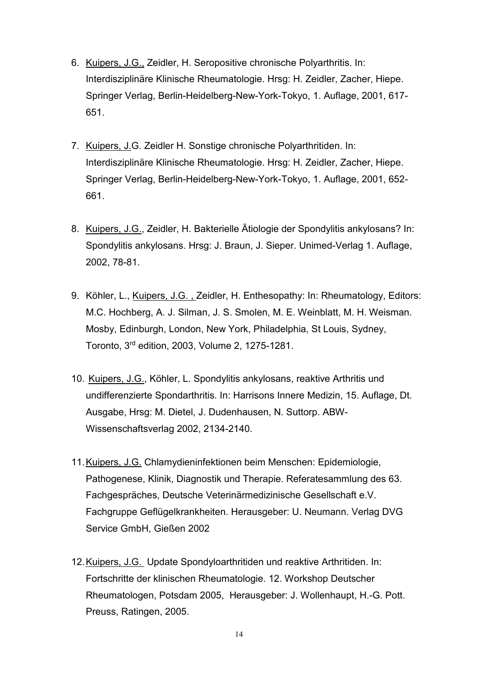- 6. Kuipers, J.G., Zeidler, H. Seropositive chronische Polyarthritis. In: Interdisziplinäre Klinische Rheumatologie. Hrsg: H. Zeidler, Zacher, Hiepe. Springer Verlag, Berlin-Heidelberg-New-York-Tokyo, 1. Auflage, 2001, 617- 651.
- 7. Kuipers, J.G. Zeidler H. Sonstige chronische Polyarthritiden. In: Interdisziplinäre Klinische Rheumatologie. Hrsg: H. Zeidler, Zacher, Hiepe. Springer Verlag, Berlin-Heidelberg-New-York-Tokyo, 1. Auflage, 2001, 652- 661.
- 8. Kuipers, J.G., Zeidler, H. Bakterielle Ätiologie der Spondylitis ankylosans? In: Spondylitis ankylosans. Hrsg: J. Braun, J. Sieper. Unimed-Verlag 1. Auflage, 2002, 78-81.
- 9. Köhler, L., Kuipers, J.G. , Zeidler, H. Enthesopathy: In: Rheumatology, Editors: M.C. Hochberg, A. J. Silman, J. S. Smolen, M. E. Weinblatt, M. H. Weisman. Mosby, Edinburgh, London, New York, Philadelphia, St Louis, Sydney, Toronto, 3rd edition, 2003, Volume 2, 1275-1281.
- 10. Kuipers, J.G., Köhler, L. Spondylitis ankylosans, reaktive Arthritis und undifferenzierte Spondarthritis. In: Harrisons Innere Medizin, 15. Auflage, Dt. Ausgabe, Hrsg: M. Dietel, J. Dudenhausen, N. Suttorp. ABW-Wissenschaftsverlag 2002, 2134-2140.
- 11. Kuipers, J.G. Chlamydieninfektionen beim Menschen: Epidemiologie, Pathogenese, Klinik, Diagnostik und Therapie. Referatesammlung des 63. Fachgespräches, Deutsche Veterinärmedizinische Gesellschaft e.V. Fachgruppe Geflügelkrankheiten. Herausgeber: U. Neumann. Verlag DVG Service GmbH, Gießen 2002
- 12. Kuipers, J.G. Update Spondyloarthritiden und reaktive Arthritiden. In: Fortschritte der klinischen Rheumatologie. 12. Workshop Deutscher Rheumatologen, Potsdam 2005, Herausgeber: J. Wollenhaupt, H.-G. Pott. Preuss, Ratingen, 2005.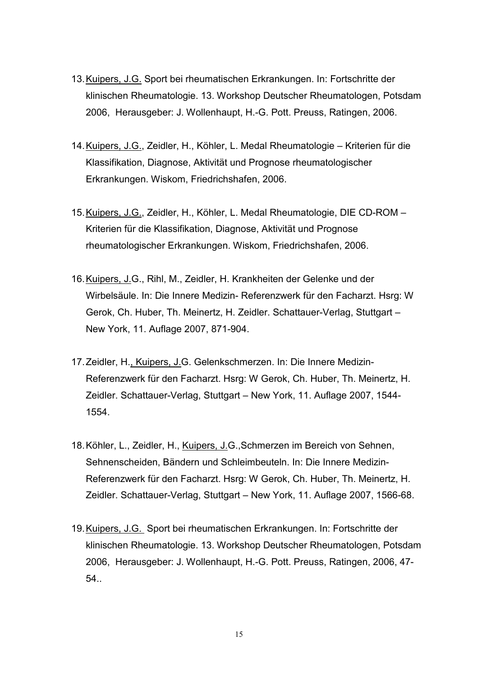- 13. Kuipers, J.G. Sport bei rheumatischen Erkrankungen. In: Fortschritte der klinischen Rheumatologie. 13. Workshop Deutscher Rheumatologen, Potsdam 2006, Herausgeber: J. Wollenhaupt, H.-G. Pott. Preuss, Ratingen, 2006.
- 14. Kuipers, J.G., Zeidler, H., Köhler, L. Medal Rheumatologie Kriterien für die Klassifikation, Diagnose, Aktivität und Prognose rheumatologischer Erkrankungen. Wiskom, Friedrichshafen, 2006.
- 15. Kuipers, J.G., Zeidler, H., Köhler, L. Medal Rheumatologie, DIE CD-ROM Kriterien für die Klassifikation, Diagnose, Aktivität und Prognose rheumatologischer Erkrankungen. Wiskom, Friedrichshafen, 2006.
- 16. Kuipers, J.G., Rihl, M., Zeidler, H. Krankheiten der Gelenke und der Wirbelsäule. In: Die Innere Medizin- Referenzwerk für den Facharzt. Hsrg: W Gerok, Ch. Huber, Th. Meinertz, H. Zeidler. Schattauer-Verlag, Stuttgart – New York, 11. Auflage 2007, 871-904.
- 17. Zeidler, H., Kuipers, J.G. Gelenkschmerzen. In: Die Innere Medizin-Referenzwerk für den Facharzt. Hsrg: W Gerok, Ch. Huber, Th. Meinertz, H. Zeidler. Schattauer-Verlag, Stuttgart – New York, 11. Auflage 2007, 1544- 1554.
- 18. Köhler, L., Zeidler, H., Kuipers, J.G.,Schmerzen im Bereich von Sehnen, Sehnenscheiden, Bändern und Schleimbeuteln. In: Die Innere Medizin-Referenzwerk für den Facharzt. Hsrg: W Gerok, Ch. Huber, Th. Meinertz, H. Zeidler. Schattauer-Verlag, Stuttgart – New York, 11. Auflage 2007, 1566-68.
- 19. Kuipers, J.G. Sport bei rheumatischen Erkrankungen. In: Fortschritte der klinischen Rheumatologie. 13. Workshop Deutscher Rheumatologen, Potsdam 2006, Herausgeber: J. Wollenhaupt, H.-G. Pott. Preuss, Ratingen, 2006, 47- 54..